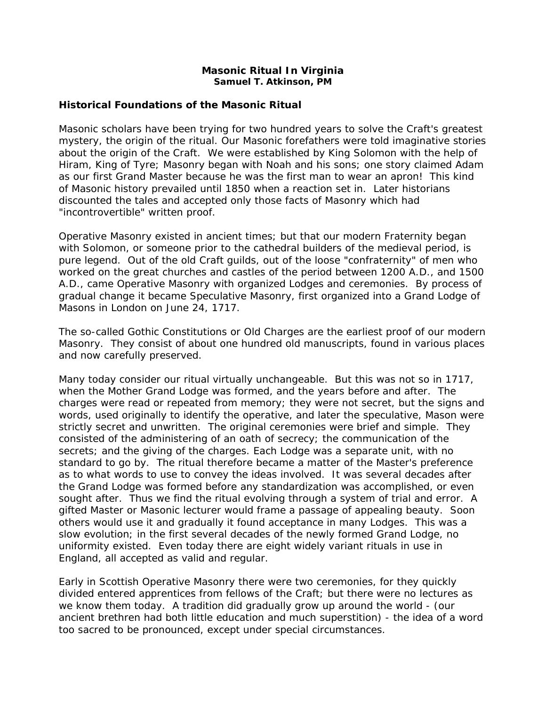#### **Masonic Ritual In Virginia Samuel T. Atkinson, PM**

# **Historical Foundations of the Masonic Ritual**

Masonic scholars have been trying for two hundred years to solve the Craft's greatest mystery, the origin of the ritual. Our Masonic forefathers were told imaginative stories about the origin of the Craft. We were established by King Solomon with the help of Hiram, King of Tyre; Masonry began with Noah and his sons; one story claimed Adam as our first Grand Master because he was the first man to wear an apron! This kind of Masonic history prevailed until 1850 when a reaction set in. Later historians discounted the tales and accepted only those facts of Masonry which had "incontrovertible" written proof.

Operative Masonry existed in ancient times; but that our modern Fraternity began with Solomon, or someone prior to the cathedral builders of the medieval period, is pure legend. Out of the old Craft guilds, out of the loose "confraternity" of men who worked on the great churches and castles of the period between 1200 A.D., and 1500 A.D., came Operative Masonry with organized Lodges and ceremonies. By process of gradual change it became Speculative Masonry, first organized into a Grand Lodge of Masons in London on June 24, 1717.

The so-called Gothic Constitutions or Old Charges are the earliest proof of our modern Masonry. They consist of about one hundred old manuscripts, found in various places and now carefully preserved.

Many today consider our ritual virtually unchangeable. But this was not so in 1717, when the Mother Grand Lodge was formed, and the years before and after. The charges were read or repeated from memory; they were not secret, but the signs and words, used originally to identify the operative, and later the speculative, Mason were strictly secret and unwritten. The original ceremonies were brief and simple. They consisted of the administering of an oath of secrecy; the communication of the secrets; and the giving of the charges. Each Lodge was a separate unit, with no standard to go by. The ritual therefore became a matter of the Master's preference as to what words to use to convey the ideas involved. It was several decades after the Grand Lodge was formed before any standardization was accomplished, or even sought after. Thus we find the ritual evolving through a system of trial and error. A gifted Master or Masonic lecturer would frame a passage of appealing beauty. Soon others would use it and gradually it found acceptance in many Lodges. This was a slow evolution; in the first several decades of the newly formed Grand Lodge, no uniformity existed. Even today there are eight widely variant rituals in use in England, all accepted as valid and regular.

Early in Scottish Operative Masonry there were two ceremonies, for they quickly divided entered apprentices from fellows of the Craft; but there were no lectures as we know them today. A tradition did gradually grow up around the world - (our ancient brethren had both little education and much superstition) - the idea of a word too sacred to be pronounced, except under special circumstances.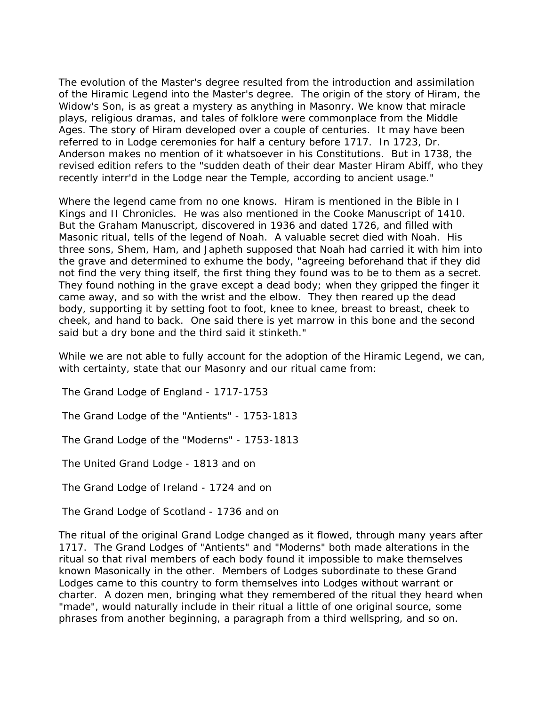The evolution of the Master's degree resulted from the introduction and assimilation of the Hiramic Legend into the Master's degree. The origin of the story of Hiram, the Widow's Son, is as great a mystery as anything in Masonry. We know that miracle plays, religious dramas, and tales of folklore were commonplace from the Middle Ages. The story of Hiram developed over a couple of centuries. It may have been referred to in Lodge ceremonies for half a century before 1717. In 1723, Dr. Anderson makes no mention of it whatsoever in his Constitutions. But in 1738, the revised edition refers to the "sudden death of their dear Master Hiram Abiff, who they recently interr'd in the Lodge near the Temple, according to ancient usage."

Where the legend came from no one knows. Hiram is mentioned in the Bible in I Kings and II Chronicles. He was also mentioned in the Cooke Manuscript of 1410. But the Graham Manuscript, discovered in 1936 and dated 1726, and filled with Masonic ritual, tells of the legend of Noah. A valuable secret died with Noah. His three sons, Shem, Ham, and Japheth supposed that Noah had carried it with him into the grave and determined to exhume the body, "agreeing beforehand that if they did not find the very thing itself, the first thing they found was to be to them as a secret. They found nothing in the grave except a dead body; when they gripped the finger it came away, and so with the wrist and the elbow. They then reared up the dead body, supporting it by setting foot to foot, knee to knee, breast to breast, cheek to cheek, and hand to back. One said there is yet marrow in this bone and the second said but a dry bone and the third said it stinketh."

While we are not able to fully account for the adoption of the Hiramic Legend, we can, with certainty, state that our Masonry and our ritual came from:

The Grand Lodge of England - 1717-1753

The Grand Lodge of the "Antients" - 1753-1813

The Grand Lodge of the "Moderns" - 1753-1813

The United Grand Lodge - 1813 and on

The Grand Lodge of Ireland - 1724 and on

The Grand Lodge of Scotland - 1736 and on

The ritual of the original Grand Lodge changed as it flowed, through many years after 1717. The Grand Lodges of "Antients" and "Moderns" both made alterations in the ritual so that rival members of each body found it impossible to make themselves known Masonically in the other. Members of Lodges subordinate to these Grand Lodges came to this country to form themselves into Lodges without warrant or charter. A dozen men, bringing what they remembered of the ritual they heard when "made", would naturally include in their ritual a little of one original source, some phrases from another beginning, a paragraph from a third wellspring, and so on.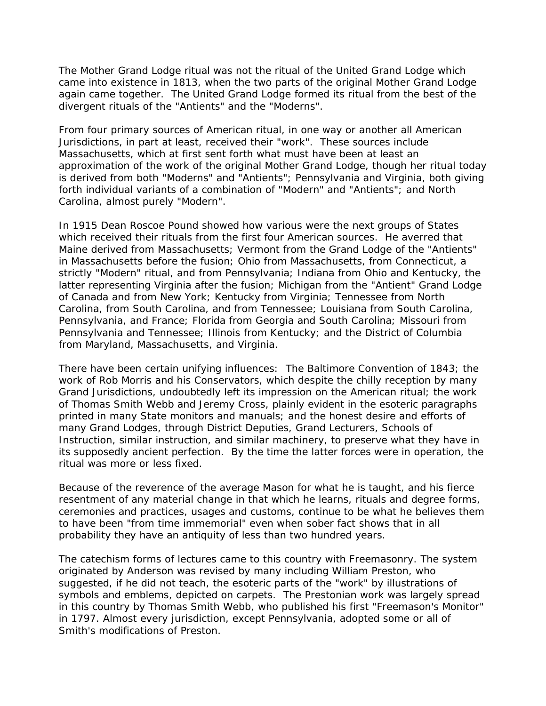The Mother Grand Lodge ritual was not the ritual of the United Grand Lodge which came into existence in 1813, when the two parts of the original Mother Grand Lodge again came together. The United Grand Lodge formed its ritual from the best of the divergent rituals of the "Antients" and the "Moderns".

From four primary sources of American ritual, in one way or another all American Jurisdictions, in part at least, received their "work". These sources include Massachusetts, which at first sent forth what must have been at least an approximation of the work of the original Mother Grand Lodge, though her ritual today is derived from both "Moderns" and "Antients"; Pennsylvania and Virginia, both giving forth individual variants of a combination of "Modern" and "Antients"; and North Carolina, almost purely "Modern".

In 1915 Dean Roscoe Pound showed how various were the next groups of States which received their rituals from the first four American sources. He averred that Maine derived from Massachusetts; Vermont from the Grand Lodge of the "Antients" in Massachusetts before the fusion; Ohio from Massachusetts, from Connecticut, a strictly "Modern" ritual, and from Pennsylvania; Indiana from Ohio and Kentucky, the latter representing Virginia after the fusion; Michigan from the "Antient" Grand Lodge of Canada and from New York; Kentucky from Virginia; Tennessee from North Carolina, from South Carolina, and from Tennessee; Louisiana from South Carolina, Pennsylvania, and France; Florida from Georgia and South Carolina; Missouri from Pennsylvania and Tennessee; Illinois from Kentucky; and the District of Columbia from Maryland, Massachusetts, and Virginia.

There have been certain unifying influences: The Baltimore Convention of 1843; the work of Rob Morris and his Conservators, which despite the chilly reception by many Grand Jurisdictions, undoubtedly left its impression on the American ritual; the work of Thomas Smith Webb and Jeremy Cross, plainly evident in the esoteric paragraphs printed in many State monitors and manuals; and the honest desire and efforts of many Grand Lodges, through District Deputies, Grand Lecturers, Schools of Instruction, similar instruction, and similar machinery, to preserve what they have in its supposedly ancient perfection. By the time the latter forces were in operation, the ritual was more or less fixed.

Because of the reverence of the average Mason for what he is taught, and his fierce resentment of any material change in that which he learns, rituals and degree forms, ceremonies and practices, usages and customs, continue to be what he believes them to have been "from time immemorial" even when sober fact shows that in all probability they have an antiquity of less than two hundred years.

The catechism forms of lectures came to this country with Freemasonry. The system originated by Anderson was revised by many including William Preston, who suggested, if he did not teach, the esoteric parts of the "work" by illustrations of symbols and emblems, depicted on carpets. The Prestonian work was largely spread in this country by Thomas Smith Webb, who published his first "Freemason's Monitor" in 1797. Almost every jurisdiction, except Pennsylvania, adopted some or all of Smith's modifications of Preston.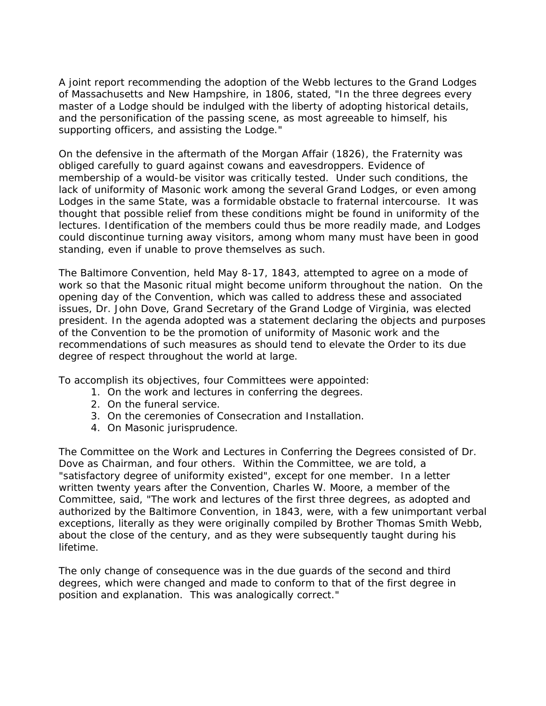A joint report recommending the adoption of the Webb lectures to the Grand Lodges of Massachusetts and New Hampshire, in 1806, stated, "In the three degrees every master of a Lodge should be indulged with the liberty of adopting historical details, and the personification of the passing scene, as most agreeable to himself, his supporting officers, and assisting the Lodge."

On the defensive in the aftermath of the Morgan Affair (1826), the Fraternity was obliged carefully to guard against cowans and eavesdroppers. Evidence of membership of a would-be visitor was critically tested. Under such conditions, the lack of uniformity of Masonic work among the several Grand Lodges, or even among Lodges in the same State, was a formidable obstacle to fraternal intercourse. It was thought that possible relief from these conditions might be found in uniformity of the lectures. Identification of the members could thus be more readily made, and Lodges could discontinue turning away visitors, among whom many must have been in good standing, even if unable to prove themselves as such.

The Baltimore Convention, held May 8-17, 1843, attempted to agree on a mode of work so that the Masonic ritual might become uniform throughout the nation. On the opening day of the Convention, which was called to address these and associated issues, Dr. John Dove, Grand Secretary of the Grand Lodge of Virginia, was elected president. In the agenda adopted was a statement declaring the objects and purposes of the Convention to be the promotion of uniformity of Masonic work and the recommendations of such measures as should tend to elevate the Order to its due degree of respect throughout the world at large.

To accomplish its objectives, four Committees were appointed:

- 1. On the work and lectures in conferring the degrees.
- 2. On the funeral service.
- 3. On the ceremonies of Consecration and Installation.
- 4. On Masonic jurisprudence.

The Committee on the Work and Lectures in Conferring the Degrees consisted of Dr. Dove as Chairman, and four others. Within the Committee, we are told, a "satisfactory degree of uniformity existed", except for one member. In a letter written twenty years after the Convention, Charles W. Moore, a member of the Committee, said, "The work and lectures of the first three degrees, as adopted and authorized by the Baltimore Convention, in 1843, were, with a few unimportant verbal exceptions, literally as they were originally compiled by Brother Thomas Smith Webb, about the close of the century, and as they were subsequently taught during his lifetime.

The only change of consequence was in the due guards of the second and third degrees, which were changed and made to conform to that of the first degree in position and explanation. This was analogically correct."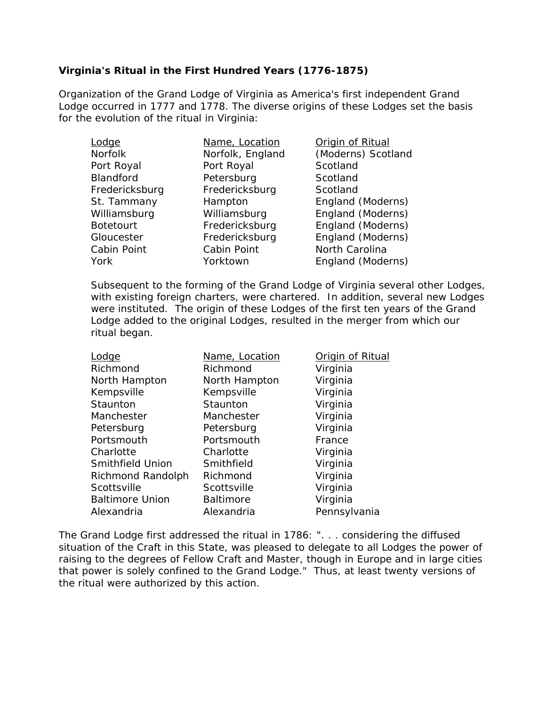# **Virginia's Ritual in the First Hundred Years (1776-1875)**

Organization of the Grand Lodge of Virginia as America's first independent Grand Lodge occurred in 1777 and 1778. The diverse origins of these Lodges set the basis for the evolution of the ritual in Virginia:

| Lodge            | Name, Location   | Origin of Ritual   |
|------------------|------------------|--------------------|
| <b>Norfolk</b>   | Norfolk, England | (Moderns) Scotland |
| Port Royal       | Port Royal       | Scotland           |
| Blandford        | Petersburg       | Scotland           |
| Fredericksburg   | Fredericksburg   | Scotland           |
| St. Tammany      | Hampton          | England (Moderns)  |
| Williamsburg     | Williamsburg     | England (Moderns)  |
| <b>Botetourt</b> | Fredericksburg   | England (Moderns)  |
| Gloucester       | Fredericksburg   | England (Moderns)  |
| Cabin Point      | Cabin Point      | North Carolina     |
| York             | Yorktown         | England (Moderns)  |

Subsequent to the forming of the Grand Lodge of Virginia several other Lodges, with existing foreign charters, were chartered. In addition, several new Lodges were instituted. The origin of these Lodges of the first ten years of the Grand Lodge added to the original Lodges, resulted in the merger from which our ritual began.

| Lodge                   | Name, Location   | Origin of Ritual |
|-------------------------|------------------|------------------|
| Richmond                | Richmond         | Virginia         |
| North Hampton           | North Hampton    | Virginia         |
| Kempsville              | Kempsville       | Virginia         |
| Staunton                | Staunton         | Virginia         |
| Manchester              | Manchester       | Virginia         |
| Petersburg              | Petersburg       | Virginia         |
| Portsmouth              | Portsmouth       | France           |
| Charlotte               | Charlotte        | Virginia         |
| <b>Smithfield Union</b> | Smithfield       | Virginia         |
| Richmond Randolph       | Richmond         | Virginia         |
| Scottsville             | Scottsville      | Virginia         |
| <b>Baltimore Union</b>  | <b>Baltimore</b> | Virginia         |
| Alexandria              | Alexandria       | Pennsylvania     |

The Grand Lodge first addressed the ritual in 1786: ". . . considering the diffused situation of the Craft in this State, was pleased to delegate to all Lodges the power of raising to the degrees of Fellow Craft and Master, though in Europe and in large cities that power is solely confined to the Grand Lodge." Thus, at least twenty versions of the ritual were authorized by this action.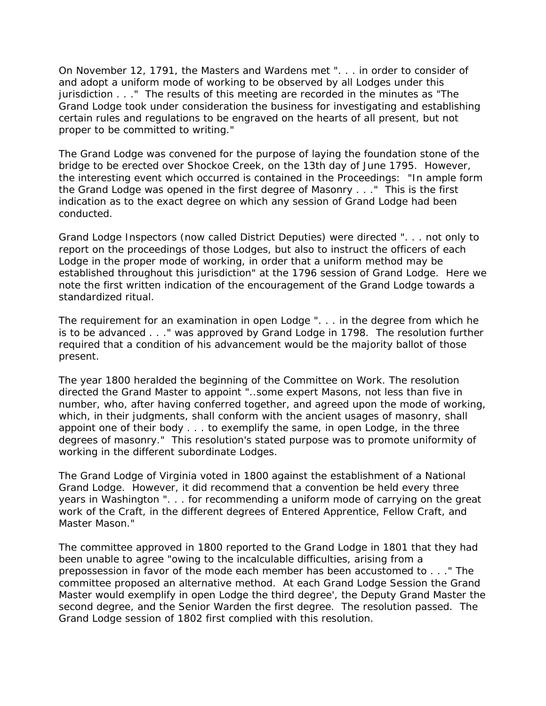On November 12, 1791, the Masters and Wardens met ". . . in order to consider of and adopt a uniform mode of working to be observed by all Lodges under this jurisdiction . . ." The results of this meeting are recorded in the minutes as "The Grand Lodge took under consideration the business for investigating and establishing certain rules and regulations to be engraved on the hearts of all present, but not proper to be committed to writing."

The Grand Lodge was convened for the purpose of laying the foundation stone of the bridge to be erected over Shockoe Creek, on the 13th day of June 1795. However, the interesting event which occurred is contained in the Proceedings: "In ample form the Grand Lodge was opened in the first degree of Masonry . . ." This is the first indication as to the exact degree on which any session of Grand Lodge had been conducted.

Grand Lodge Inspectors (now called District Deputies) were directed ". . . not only to report on the proceedings of those Lodges, but also to instruct the officers of each Lodge in the proper mode of working, in order that a uniform method may be established throughout this jurisdiction" at the 1796 session of Grand Lodge. Here we note the first written indication of the encouragement of the Grand Lodge towards a standardized ritual.

The requirement for an examination in open Lodge ". . . in the degree from which he is to be advanced . . ." was approved by Grand Lodge in 1798. The resolution further required that a condition of his advancement would be the majority ballot of those present.

The year 1800 heralded the beginning of the Committee on Work. The resolution directed the Grand Master to appoint "..some expert Masons, not less than five in number, who, after having conferred together, and agreed upon the mode of working, which, in their judgments, shall conform with the ancient usages of masonry, shall appoint one of their body . . . to exemplify the same, in open Lodge, in the three degrees of masonry." This resolution's stated purpose was to promote uniformity of working in the different subordinate Lodges.

The Grand Lodge of Virginia voted in 1800 against the establishment of a National Grand Lodge. However, it did recommend that a convention be held every three years in Washington ". . . for recommending a uniform mode of carrying on the great work of the Craft, in the different degrees of Entered Apprentice, Fellow Craft, and Master Mason."

The committee approved in 1800 reported to the Grand Lodge in 1801 that they had been unable to agree "owing to the incalculable difficulties, arising from a prepossession in favor of the mode each member has been accustomed to . . ." The committee proposed an alternative method. At each Grand Lodge Session the Grand Master would exemplify in open Lodge the third degree', the Deputy Grand Master the second degree, and the Senior Warden the first degree. The resolution passed. The Grand Lodge session of 1802 first complied with this resolution.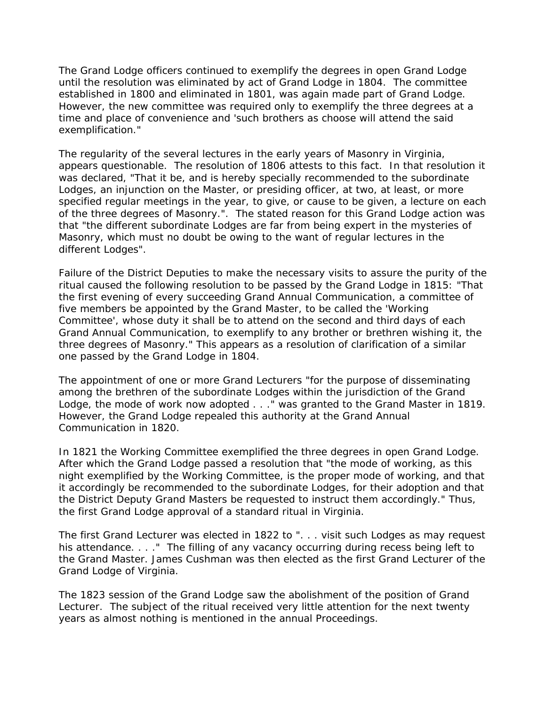The Grand Lodge officers continued to exemplify the degrees in open Grand Lodge until the resolution was eliminated by act of Grand Lodge in 1804. The committee established in 1800 and eliminated in 1801, was again made part of Grand Lodge. However, the new committee was required only to exemplify the three degrees at a time and place of convenience and 'such brothers as choose will attend the said exemplification."

The regularity of the several lectures in the early years of Masonry in Virginia, appears questionable. The resolution of 1806 attests to this fact. In that resolution it was declared, "That it be, and is hereby specially recommended to the subordinate Lodges, an injunction on the Master, or presiding officer, at two, at least, or more specified regular meetings in the year, to give, or cause to be given, a lecture on each of the three degrees of Masonry.". The stated reason for this Grand Lodge action was that "the different subordinate Lodges are far from being expert in the mysteries of Masonry, which must no doubt be owing to the want of regular lectures in the different Lodges".

Failure of the District Deputies to make the necessary visits to assure the purity of the ritual caused the following resolution to be passed by the Grand Lodge in 1815: "That the first evening of every succeeding Grand Annual Communication, a committee of five members be appointed by the Grand Master, to be called the 'Working Committee', whose duty it shall be to attend on the second and third days of each Grand Annual Communication, to exemplify to any brother or brethren wishing it, the three degrees of Masonry." This appears as a resolution of clarification of a similar one passed by the Grand Lodge in 1804.

The appointment of one or more Grand Lecturers "for the purpose of disseminating among the brethren of the subordinate Lodges within the jurisdiction of the Grand Lodge, the mode of work now adopted . . ." was granted to the Grand Master in 1819. However, the Grand Lodge repealed this authority at the Grand Annual Communication in 1820.

In 1821 the Working Committee exemplified the three degrees in open Grand Lodge. After which the Grand Lodge passed a resolution that "the mode of working, as this night exemplified by the Working Committee, is the proper mode of working, and that it accordingly be recommended to the subordinate Lodges, for their adoption and that the District Deputy Grand Masters be requested to instruct them accordingly." Thus, the first Grand Lodge approval of a standard ritual in Virginia.

The first Grand Lecturer was elected in 1822 to ". . . visit such Lodges as may request his attendance. . . . " The filling of any vacancy occurring during recess being left to the Grand Master. James Cushman was then elected as the first Grand Lecturer of the Grand Lodge of Virginia.

The 1823 session of the Grand Lodge saw the abolishment of the position of Grand Lecturer. The subject of the ritual received very little attention for the next twenty years as almost nothing is mentioned in the annual Proceedings.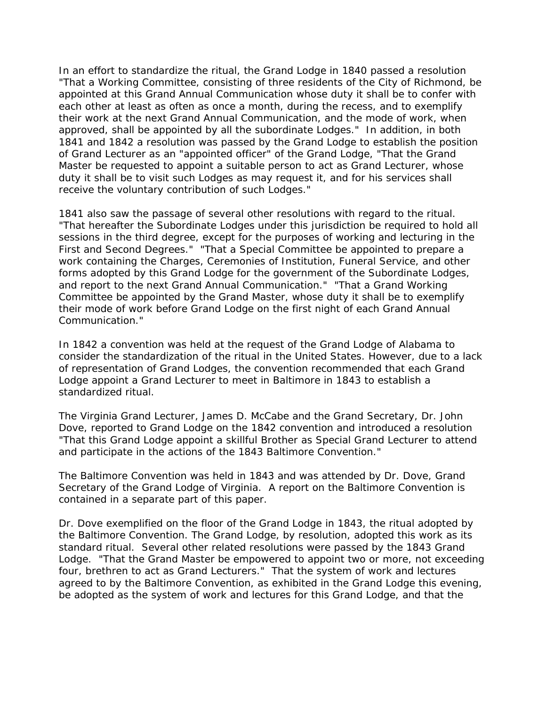In an effort to standardize the ritual, the Grand Lodge in 1840 passed a resolution "That a Working Committee, consisting of three residents of the City of Richmond, be appointed at this Grand Annual Communication whose duty it shall be to confer with each other at least as often as once a month, during the recess, and to exemplify their work at the next Grand Annual Communication, and the mode of work, when approved, shall be appointed by all the subordinate Lodges." In addition, in both 1841 and 1842 a resolution was passed by the Grand Lodge to establish the position of Grand Lecturer as an "appointed officer" of the Grand Lodge, "That the Grand Master be requested to appoint a suitable person to act as Grand Lecturer, whose duty it shall be to visit such Lodges as may request it, and for his services shall receive the voluntary contribution of such Lodges."

1841 also saw the passage of several other resolutions with regard to the ritual. "That hereafter the Subordinate Lodges under this jurisdiction be required to hold all sessions in the third degree, except for the purposes of working and lecturing in the First and Second Degrees." "That a Special Committee be appointed to prepare a work containing the Charges, Ceremonies of Institution, Funeral Service, and other forms adopted by this Grand Lodge for the government of the Subordinate Lodges, and report to the next Grand Annual Communication." "That a Grand Working Committee be appointed by the Grand Master, whose duty it shall be to exemplify their mode of work before Grand Lodge on the first night of each Grand Annual Communication."

In 1842 a convention was held at the request of the Grand Lodge of Alabama to consider the standardization of the ritual in the United States. However, due to a lack of representation of Grand Lodges, the convention recommended that each Grand Lodge appoint a Grand Lecturer to meet in Baltimore in 1843 to establish a standardized ritual.

The Virginia Grand Lecturer, James D. McCabe and the Grand Secretary, Dr. John Dove, reported to Grand Lodge on the 1842 convention and introduced a resolution "That this Grand Lodge appoint a skillful Brother as Special Grand Lecturer to attend and participate in the actions of the 1843 Baltimore Convention."

The Baltimore Convention was held in 1843 and was attended by Dr. Dove, Grand Secretary of the Grand Lodge of Virginia. A report on the Baltimore Convention is contained in a separate part of this paper.

Dr. Dove exemplified on the floor of the Grand Lodge in 1843, the ritual adopted by the Baltimore Convention. The Grand Lodge, by resolution, adopted this work as its standard ritual. Several other related resolutions were passed by the 1843 Grand Lodge. "That the Grand Master be empowered to appoint two or more, not exceeding four, brethren to act as Grand Lecturers." That the system of work and lectures agreed to by the Baltimore Convention, as exhibited in the Grand Lodge this evening, be adopted as the system of work and lectures for this Grand Lodge, and that the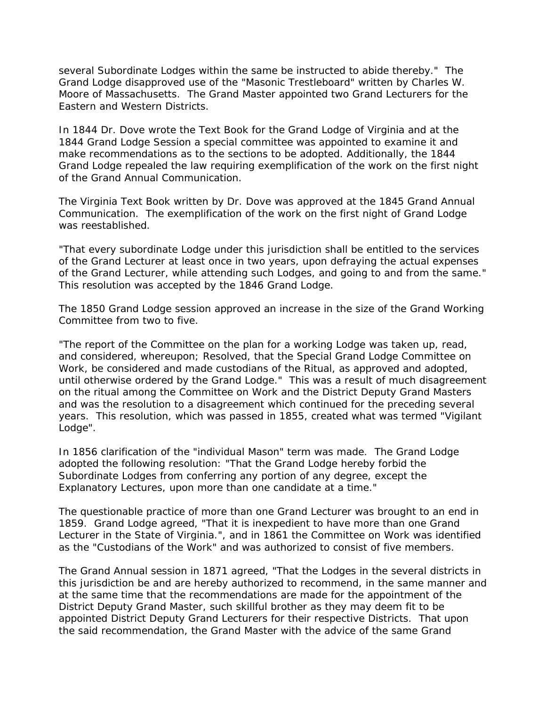several Subordinate Lodges within the same be instructed to abide thereby." The Grand Lodge disapproved use of the "Masonic Trestleboard" written by Charles W. Moore of Massachusetts. The Grand Master appointed two Grand Lecturers for the Eastern and Western Districts.

In 1844 Dr. Dove wrote the Text Book for the Grand Lodge of Virginia and at the 1844 Grand Lodge Session a special committee was appointed to examine it and make recommendations as to the sections to be adopted. Additionally, the 1844 Grand Lodge repealed the law requiring exemplification of the work on the first night of the Grand Annual Communication.

The Virginia Text Book written by Dr. Dove was approved at the 1845 Grand Annual Communication. The exemplification of the work on the first night of Grand Lodge was reestablished.

"That every subordinate Lodge under this jurisdiction shall be entitled to the services of the Grand Lecturer at least once in two years, upon defraying the actual expenses of the Grand Lecturer, while attending such Lodges, and going to and from the same." This resolution was accepted by the 1846 Grand Lodge.

The 1850 Grand Lodge session approved an increase in the size of the Grand Working Committee from two to five.

"The report of the Committee on the plan for a working Lodge was taken up, read, and considered, whereupon; Resolved, that the Special Grand Lodge Committee on Work, be considered and made custodians of the Ritual, as approved and adopted, until otherwise ordered by the Grand Lodge." This was a result of much disagreement on the ritual among the Committee on Work and the District Deputy Grand Masters and was the resolution to a disagreement which continued for the preceding several years. This resolution, which was passed in 1855, created what was termed "Vigilant Lodge".

In 1856 clarification of the "individual Mason" term was made. The Grand Lodge adopted the following resolution: "That the Grand Lodge hereby forbid the Subordinate Lodges from conferring any portion of any degree, except the Explanatory Lectures, upon more than one candidate at a time."

The questionable practice of more than one Grand Lecturer was brought to an end in 1859. Grand Lodge agreed, "That it is inexpedient to have more than one Grand Lecturer in the State of Virginia.", and in 1861 the Committee on Work was identified as the "Custodians of the Work" and was authorized to consist of five members.

The Grand Annual session in 1871 agreed, "That the Lodges in the several districts in this jurisdiction be and are hereby authorized to recommend, in the same manner and at the same time that the recommendations are made for the appointment of the District Deputy Grand Master, such skillful brother as they may deem fit to be appointed District Deputy Grand Lecturers for their respective Districts. That upon the said recommendation, the Grand Master with the advice of the same Grand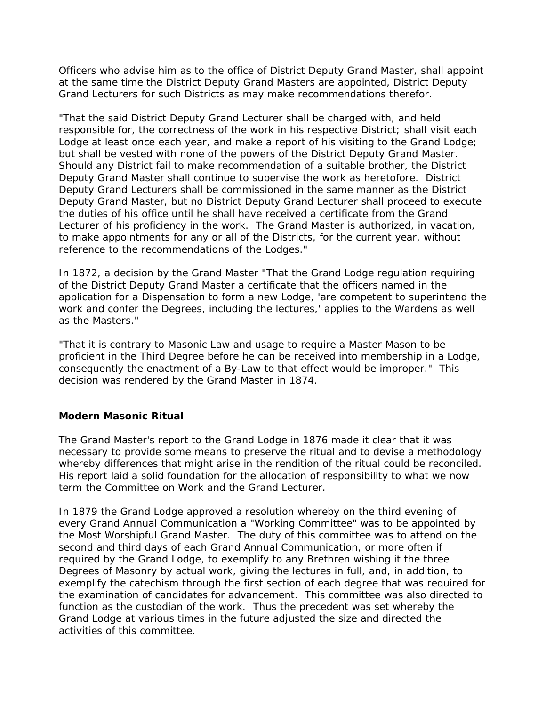Officers who advise him as to the office of District Deputy Grand Master, shall appoint at the same time the District Deputy Grand Masters are appointed, District Deputy Grand Lecturers for such Districts as may make recommendations therefor.

"That the said District Deputy Grand Lecturer shall be charged with, and held responsible for, the correctness of the work in his respective District; shall visit each Lodge at least once each year, and make a report of his visiting to the Grand Lodge; but shall be vested with none of the powers of the District Deputy Grand Master. Should any District fail to make recommendation of a suitable brother, the District Deputy Grand Master shall continue to supervise the work as heretofore. District Deputy Grand Lecturers shall be commissioned in the same manner as the District Deputy Grand Master, but no District Deputy Grand Lecturer shall proceed to execute the duties of his office until he shall have received a certificate from the Grand Lecturer of his proficiency in the work. The Grand Master is authorized, in vacation, to make appointments for any or all of the Districts, for the current year, without reference to the recommendations of the Lodges."

In 1872, a decision by the Grand Master "That the Grand Lodge regulation requiring of the District Deputy Grand Master a certificate that the officers named in the application for a Dispensation to form a new Lodge, 'are competent to superintend the work and confer the Degrees, including the lectures,' applies to the Wardens as well as the Masters."

"That it is contrary to Masonic Law and usage to require a Master Mason to be proficient in the Third Degree before he can be received into membership in a Lodge, consequently the enactment of a By-Law to that effect would be improper." This decision was rendered by the Grand Master in 1874.

# **Modern Masonic Ritual**

The Grand Master's report to the Grand Lodge in 1876 made it clear that it was necessary to provide some means to preserve the ritual and to devise a methodology whereby differences that might arise in the rendition of the ritual could be reconciled. His report laid a solid foundation for the allocation of responsibility to what we now term the Committee on Work and the Grand Lecturer.

In 1879 the Grand Lodge approved a resolution whereby on the third evening of every Grand Annual Communication a "Working Committee" was to be appointed by the Most Worshipful Grand Master. The duty of this committee was to attend on the second and third days of each Grand Annual Communication, or more often if required by the Grand Lodge, to exemplify to any Brethren wishing it the three Degrees of Masonry by actual work, giving the lectures in full, and, in addition, to exemplify the catechism through the first section of each degree that was required for the examination of candidates for advancement. This committee was also directed to function as the custodian of the work. Thus the precedent was set whereby the Grand Lodge at various times in the future adjusted the size and directed the activities of this committee.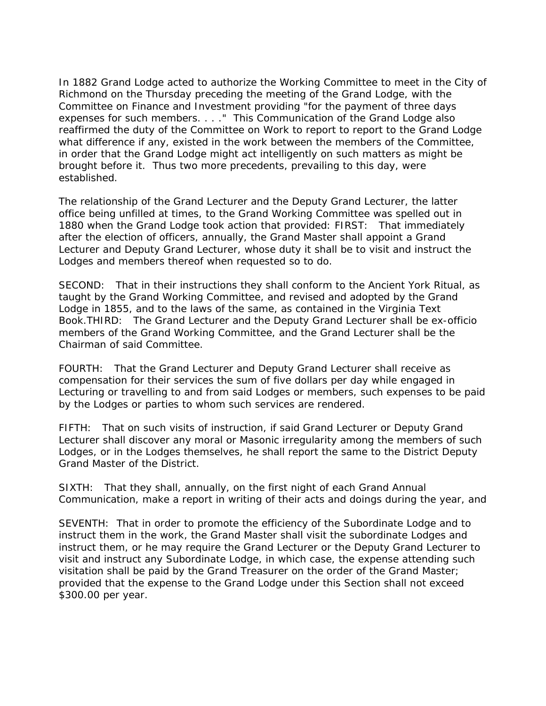In 1882 Grand Lodge acted to authorize the Working Committee to meet in the City of Richmond on the Thursday preceding the meeting of the Grand Lodge, with the Committee on Finance and Investment providing "for the payment of three days expenses for such members. . . ." This Communication of the Grand Lodge also reaffirmed the duty of the Committee on Work to report to report to the Grand Lodge what difference if any, existed in the work between the members of the Committee, in order that the Grand Lodge might act intelligently on such matters as might be brought before it. Thus two more precedents, prevailing to this day, were established.

The relationship of the Grand Lecturer and the Deputy Grand Lecturer, the latter office being unfilled at times, to the Grand Working Committee was spelled out in 1880 when the Grand Lodge took action that provided: FIRST: That immediately after the election of officers, annually, the Grand Master shall appoint a Grand Lecturer and Deputy Grand Lecturer, whose duty it shall be to visit and instruct the Lodges and members thereof when requested so to do.

SECOND: That in their instructions they shall conform to the Ancient York Ritual, as taught by the Grand Working Committee, and revised and adopted by the Grand Lodge in 1855, and to the laws of the same, as contained in the Virginia Text Book.THIRD: The Grand Lecturer and the Deputy Grand Lecturer shall be ex-officio members of the Grand Working Committee, and the Grand Lecturer shall be the Chairman of said Committee.

FOURTH: That the Grand Lecturer and Deputy Grand Lecturer shall receive as compensation for their services the sum of five dollars per day while engaged in Lecturing or travelling to and from said Lodges or members, such expenses to be paid by the Lodges or parties to whom such services are rendered.

FIFTH: That on such visits of instruction, if said Grand Lecturer or Deputy Grand Lecturer shall discover any moral or Masonic irregularity among the members of such Lodges, or in the Lodges themselves, he shall report the same to the District Deputy Grand Master of the District.

SIXTH: That they shall, annually, on the first night of each Grand Annual Communication, make a report in writing of their acts and doings during the year, and

SEVENTH: That in order to promote the efficiency of the Subordinate Lodge and to instruct them in the work, the Grand Master shall visit the subordinate Lodges and instruct them, or he may require the Grand Lecturer or the Deputy Grand Lecturer to visit and instruct any Subordinate Lodge, in which case, the expense attending such visitation shall be paid by the Grand Treasurer on the order of the Grand Master; provided that the expense to the Grand Lodge under this Section shall not exceed \$300.00 per year.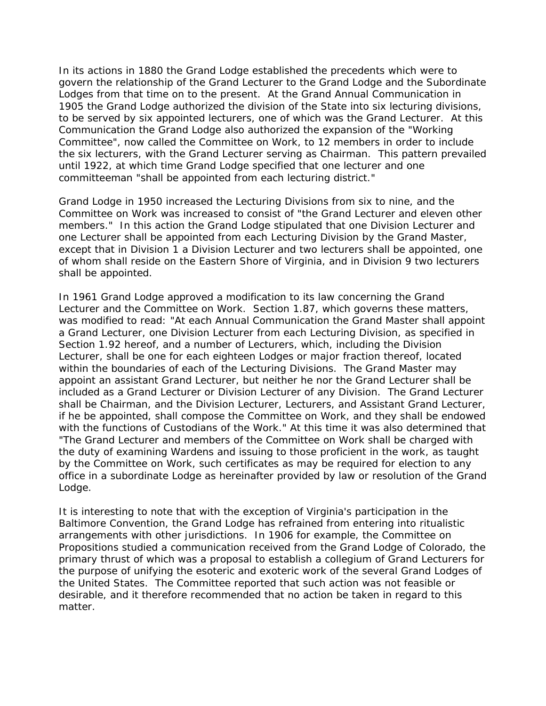In its actions in 1880 the Grand Lodge established the precedents which were to govern the relationship of the Grand Lecturer to the Grand Lodge and the Subordinate Lodges from that time on to the present. At the Grand Annual Communication in 1905 the Grand Lodge authorized the division of the State into six lecturing divisions, to be served by six appointed lecturers, one of which was the Grand Lecturer. At this Communication the Grand Lodge also authorized the expansion of the "Working Committee", now called the Committee on Work, to 12 members in order to include the six lecturers, with the Grand Lecturer serving as Chairman. This pattern prevailed until 1922, at which time Grand Lodge specified that one lecturer and one committeeman "shall be appointed from each lecturing district."

Grand Lodge in 1950 increased the Lecturing Divisions from six to nine, and the Committee on Work was increased to consist of "the Grand Lecturer and eleven other members." In this action the Grand Lodge stipulated that one Division Lecturer and one Lecturer shall be appointed from each Lecturing Division by the Grand Master, except that in Division 1 a Division Lecturer and two lecturers shall be appointed, one of whom shall reside on the Eastern Shore of Virginia, and in Division 9 two lecturers shall be appointed.

In 1961 Grand Lodge approved a modification to its law concerning the Grand Lecturer and the Committee on Work. Section 1.87, which governs these matters, was modified to read: "At each Annual Communication the Grand Master shall appoint a Grand Lecturer, one Division Lecturer from each Lecturing Division, as specified in Section 1.92 hereof, and a number of Lecturers, which, including the Division Lecturer, shall be one for each eighteen Lodges or major fraction thereof, located within the boundaries of each of the Lecturing Divisions. The Grand Master may appoint an assistant Grand Lecturer, but neither he nor the Grand Lecturer shall be included as a Grand Lecturer or Division Lecturer of any Division. The Grand Lecturer shall be Chairman, and the Division Lecturer, Lecturers, and Assistant Grand Lecturer, if he be appointed, shall compose the Committee on Work, and they shall be endowed with the functions of Custodians of the Work." At this time it was also determined that "The Grand Lecturer and members of the Committee on Work shall be charged with the duty of examining Wardens and issuing to those proficient in the work, as taught by the Committee on Work, such certificates as may be required for election to any office in a subordinate Lodge as hereinafter provided by law or resolution of the Grand Lodge.

It is interesting to note that with the exception of Virginia's participation in the Baltimore Convention, the Grand Lodge has refrained from entering into ritualistic arrangements with other jurisdictions. In 1906 for example, the Committee on Propositions studied a communication received from the Grand Lodge of Colorado, the primary thrust of which was a proposal to establish a collegium of Grand Lecturers for the purpose of unifying the esoteric and exoteric work of the several Grand Lodges of the United States. The Committee reported that such action was not feasible or desirable, and it therefore recommended that no action be taken in regard to this matter.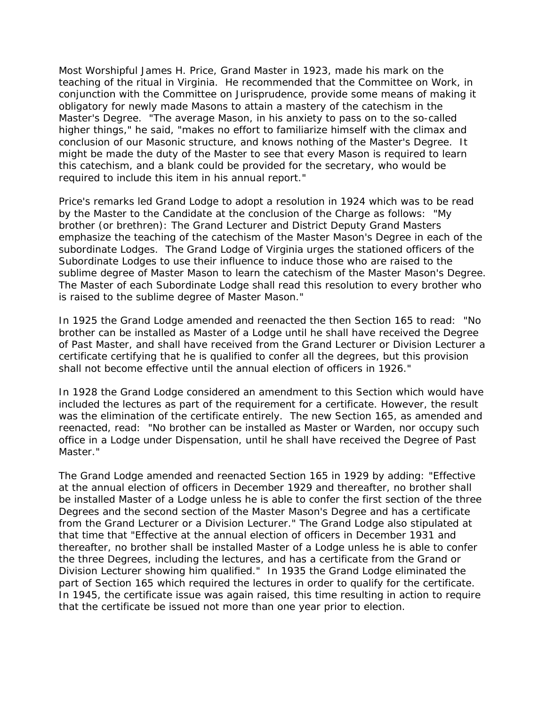Most Worshipful James H. Price, Grand Master in 1923, made his mark on the teaching of the ritual in Virginia. He recommended that the Committee on Work, in conjunction with the Committee on Jurisprudence, provide some means of making it obligatory for newly made Masons to attain a mastery of the catechism in the Master's Degree. "The average Mason, in his anxiety to pass on to the so-called higher things," he said, "makes no effort to familiarize himself with the climax and conclusion of our Masonic structure, and knows nothing of the Master's Degree. It might be made the duty of the Master to see that every Mason is required to learn this catechism, and a blank could be provided for the secretary, who would be required to include this item in his annual report."

Price's remarks led Grand Lodge to adopt a resolution in 1924 which was to be read by the Master to the Candidate at the conclusion of the Charge as follows: "My brother (or brethren): The Grand Lecturer and District Deputy Grand Masters emphasize the teaching of the catechism of the Master Mason's Degree in each of the subordinate Lodges. The Grand Lodge of Virginia urges the stationed officers of the Subordinate Lodges to use their influence to induce those who are raised to the sublime degree of Master Mason to learn the catechism of the Master Mason's Degree. The Master of each Subordinate Lodge shall read this resolution to every brother who is raised to the sublime degree of Master Mason."

In 1925 the Grand Lodge amended and reenacted the then Section 165 to read: "No brother can be installed as Master of a Lodge until he shall have received the Degree of Past Master, and shall have received from the Grand Lecturer or Division Lecturer a certificate certifying that he is qualified to confer all the degrees, but this provision shall not become effective until the annual election of officers in 1926."

In 1928 the Grand Lodge considered an amendment to this Section which would have included the lectures as part of the requirement for a certificate. However, the result was the elimination of the certificate entirely. The new Section 165, as amended and reenacted, read: "No brother can be installed as Master or Warden, nor occupy such office in a Lodge under Dispensation, until he shall have received the Degree of Past Master."

The Grand Lodge amended and reenacted Section 165 in 1929 by adding: "Effective at the annual election of officers in December 1929 and thereafter, no brother shall be installed Master of a Lodge unless he is able to confer the first section of the three Degrees and the second section of the Master Mason's Degree and has a certificate from the Grand Lecturer or a Division Lecturer." The Grand Lodge also stipulated at that time that "Effective at the annual election of officers in December 1931 and thereafter, no brother shall be installed Master of a Lodge unless he is able to confer the three Degrees, including the lectures, and has a certificate from the Grand or Division Lecturer showing him qualified." In 1935 the Grand Lodge eliminated the part of Section 165 which required the lectures in order to qualify for the certificate. In 1945, the certificate issue was again raised, this time resulting in action to require that the certificate be issued not more than one year prior to election.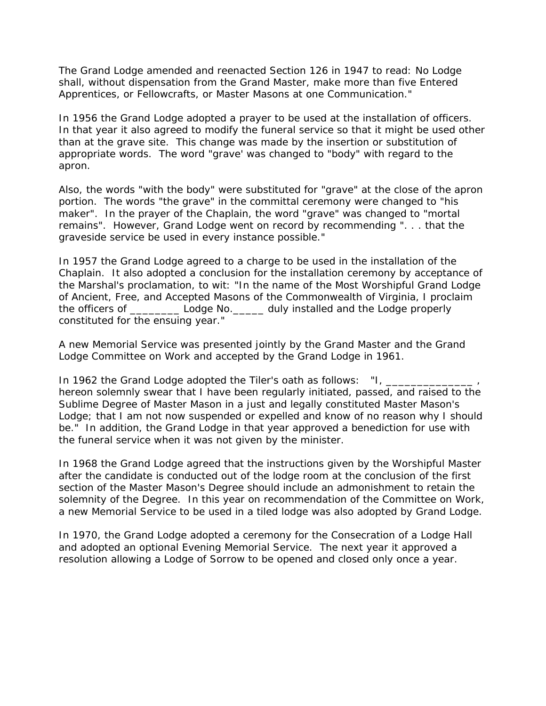The Grand Lodge amended and reenacted Section 126 in 1947 to read: No Lodge shall, without dispensation from the Grand Master, make more than five Entered Apprentices, or Fellowcrafts, or Master Masons at one Communication."

In 1956 the Grand Lodge adopted a prayer to be used at the installation of officers. In that year it also agreed to modify the funeral service so that it might be used other than at the grave site. This change was made by the insertion or substitution of appropriate words. The word "grave' was changed to "body" with regard to the apron.

Also, the words "with the body" were substituted for "grave" at the close of the apron portion. The words "the grave" in the committal ceremony were changed to "his maker". In the prayer of the Chaplain, the word "grave" was changed to "mortal remains". However, Grand Lodge went on record by recommending ". . . that the graveside service be used in every instance possible."

In 1957 the Grand Lodge agreed to a charge to be used in the installation of the Chaplain. It also adopted a conclusion for the installation ceremony by acceptance of the Marshal's proclamation, to wit: "In the name of the Most Worshipful Grand Lodge of Ancient, Free, and Accepted Masons of the Commonwealth of Virginia, I proclaim the officers of \_\_\_\_\_\_\_\_ Lodge No.\_\_\_\_\_ duly installed and the Lodge properly constituted for the ensuing year."

A new Memorial Service was presented jointly by the Grand Master and the Grand Lodge Committee on Work and accepted by the Grand Lodge in 1961.

In 1962 the Grand Lodge adopted the Tiler's oath as follows: "I, \_\_\_\_\_\_\_ hereon solemnly swear that I have been regularly initiated, passed, and raised to the Sublime Degree of Master Mason in a just and legally constituted Master Mason's Lodge; that I am not now suspended or expelled and know of no reason why I should be." In addition, the Grand Lodge in that year approved a benediction for use with the funeral service when it was not given by the minister.

In 1968 the Grand Lodge agreed that the instructions given by the Worshipful Master after the candidate is conducted out of the lodge room at the conclusion of the first section of the Master Mason's Degree should include an admonishment to retain the solemnity of the Degree. In this year on recommendation of the Committee on Work, a new Memorial Service to be used in a tiled lodge was also adopted by Grand Lodge.

In 1970, the Grand Lodge adopted a ceremony for the Consecration of a Lodge Hall and adopted an optional Evening Memorial Service. The next year it approved a resolution allowing a Lodge of Sorrow to be opened and closed only once a year.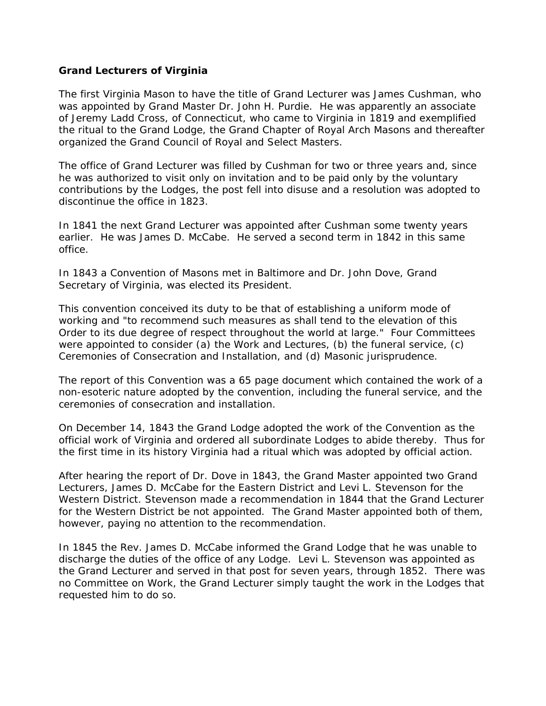# **Grand Lecturers of Virginia**

The first Virginia Mason to have the title of Grand Lecturer was James Cushman, who was appointed by Grand Master Dr. John H. Purdie. He was apparently an associate of Jeremy Ladd Cross, of Connecticut, who came to Virginia in 1819 and exemplified the ritual to the Grand Lodge, the Grand Chapter of Royal Arch Masons and thereafter organized the Grand Council of Royal and Select Masters.

The office of Grand Lecturer was filled by Cushman for two or three years and, since he was authorized to visit only on invitation and to be paid only by the voluntary contributions by the Lodges, the post fell into disuse and a resolution was adopted to discontinue the office in 1823.

In 1841 the next Grand Lecturer was appointed after Cushman some twenty years earlier. He was James D. McCabe. He served a second term in 1842 in this same office.

In 1843 a Convention of Masons met in Baltimore and Dr. John Dove, Grand Secretary of Virginia, was elected its President.

This convention conceived its duty to be that of establishing a uniform mode of working and "to recommend such measures as shall tend to the elevation of this Order to its due degree of respect throughout the world at large." Four Committees were appointed to consider (a) the Work and Lectures, (b) the funeral service, (c) Ceremonies of Consecration and Installation, and (d) Masonic jurisprudence.

The report of this Convention was a 65 page document which contained the work of a non-esoteric nature adopted by the convention, including the funeral service, and the ceremonies of consecration and installation.

On December 14, 1843 the Grand Lodge adopted the work of the Convention as the official work of Virginia and ordered all subordinate Lodges to abide thereby. Thus for the first time in its history Virginia had a ritual which was adopted by official action.

After hearing the report of Dr. Dove in 1843, the Grand Master appointed two Grand Lecturers, James D. McCabe for the Eastern District and Levi L. Stevenson for the Western District. Stevenson made a recommendation in 1844 that the Grand Lecturer for the Western District be not appointed. The Grand Master appointed both of them, however, paying no attention to the recommendation.

In 1845 the Rev. James D. McCabe informed the Grand Lodge that he was unable to discharge the duties of the office of any Lodge. Levi L. Stevenson was appointed as the Grand Lecturer and served in that post for seven years, through 1852. There was no Committee on Work, the Grand Lecturer simply taught the work in the Lodges that requested him to do so.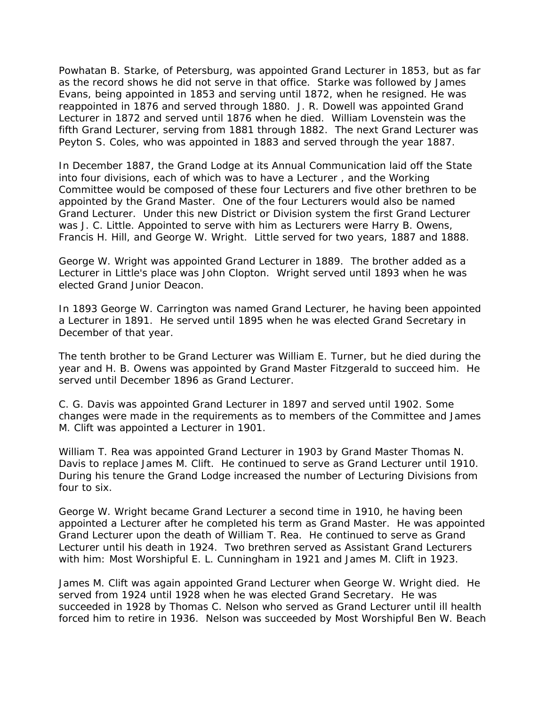Powhatan B. Starke, of Petersburg, was appointed Grand Lecturer in 1853, but as far as the record shows he did not serve in that office. Starke was followed by James Evans, being appointed in 1853 and serving until 1872, when he resigned. He was reappointed in 1876 and served through 1880. J. R. Dowell was appointed Grand Lecturer in 1872 and served until 1876 when he died. William Lovenstein was the fifth Grand Lecturer, serving from 1881 through 1882. The next Grand Lecturer was Peyton S. Coles, who was appointed in 1883 and served through the year 1887.

In December 1887, the Grand Lodge at its Annual Communication laid off the State into four divisions, each of which was to have a Lecturer , and the Working Committee would be composed of these four Lecturers and five other brethren to be appointed by the Grand Master. One of the four Lecturers would also be named Grand Lecturer. Under this new District or Division system the first Grand Lecturer was J. C. Little. Appointed to serve with him as Lecturers were Harry B. Owens, Francis H. Hill, and George W. Wright. Little served for two years, 1887 and 1888.

George W. Wright was appointed Grand Lecturer in 1889. The brother added as a Lecturer in Little's place was John Clopton. Wright served until 1893 when he was elected Grand Junior Deacon.

In 1893 George W. Carrington was named Grand Lecturer, he having been appointed a Lecturer in 1891. He served until 1895 when he was elected Grand Secretary in December of that year.

The tenth brother to be Grand Lecturer was William E. Turner, but he died during the year and H. B. Owens was appointed by Grand Master Fitzgerald to succeed him. He served until December 1896 as Grand Lecturer.

C. G. Davis was appointed Grand Lecturer in 1897 and served until 1902. Some changes were made in the requirements as to members of the Committee and James M. Clift was appointed a Lecturer in 1901.

William T. Rea was appointed Grand Lecturer in 1903 by Grand Master Thomas N. Davis to replace James M. Clift. He continued to serve as Grand Lecturer until 1910. During his tenure the Grand Lodge increased the number of Lecturing Divisions from four to six.

George W. Wright became Grand Lecturer a second time in 1910, he having been appointed a Lecturer after he completed his term as Grand Master. He was appointed Grand Lecturer upon the death of William T. Rea. He continued to serve as Grand Lecturer until his death in 1924. Two brethren served as Assistant Grand Lecturers with him: Most Worshipful E. L. Cunningham in 1921 and James M. Clift in 1923.

James M. Clift was again appointed Grand Lecturer when George W. Wright died. He served from 1924 until 1928 when he was elected Grand Secretary. He was succeeded in 1928 by Thomas C. Nelson who served as Grand Lecturer until ill health forced him to retire in 1936. Nelson was succeeded by Most Worshipful Ben W. Beach